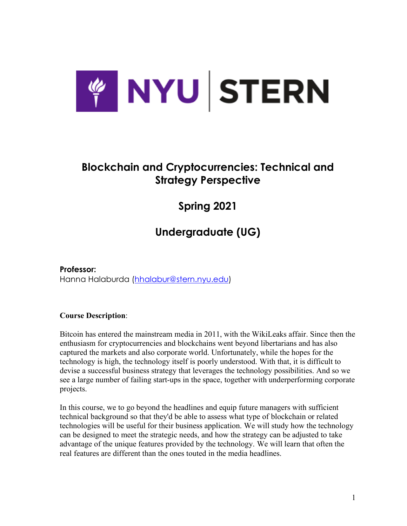

## **Blockchain and Cryptocurrencies: Technical and Strategy Perspective**

**Spring 2021**

# **Undergraduate (UG)**

**Professor:** Hanna Halaburda (hhalabur@stern.nyu.edu)

## **Course Description**:

Bitcoin has entered the mainstream media in 2011, with the WikiLeaks affair. Since then the enthusiasm for cryptocurrencies and blockchains went beyond libertarians and has also captured the markets and also corporate world. Unfortunately, while the hopes for the technology is high, the technology itself is poorly understood. With that, it is difficult to devise a successful business strategy that leverages the technology possibilities. And so we see a large number of failing start-ups in the space, together with underperforming corporate projects.

In this course, we to go beyond the headlines and equip future managers with sufficient technical background so that they'd be able to assess what type of blockchain or related technologies will be useful for their business application. We will study how the technology can be designed to meet the strategic needs, and how the strategy can be adjusted to take advantage of the unique features provided by the technology. We will learn that often the real features are different than the ones touted in the media headlines.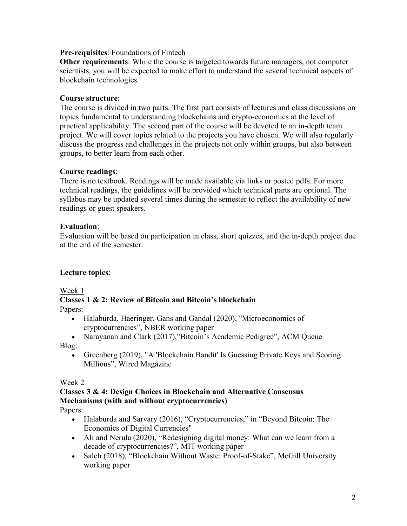#### **Pre-requisites**: Foundations of Fintech

**Other requirements**: While the course is targeted towards future managers, not computer scientists, you will be expected to make effort to understand the several technical aspects of blockchain technologies.

#### **Course structure**:

The course is divided in two parts. The first part consists of lectures and class discussions on topics fundamental to understanding blockchains and crypto-economics at the level of practical applicability. The second part of the course will be devoted to an in-depth team project. We will cover topics related to the projects you have chosen. We will also regularly discuss the progress and challenges in the projects not only within groups, but also between groups, to better learn from each other.

#### **Course readings**:

There is no textbook. Readings will be made available via links or posted pdfs. For more technical readings, the guidelines will be provided which technical parts are optional. The syllabus may be updated several times during the semester to reflect the availability of new readings or guest speakers.

#### **Evaluation**:

Evaluation will be based on participation in class, short quizzes, and the in-depth project due at the end of the semester.

#### **Lecture topics**:

Week 1

# **Classes 1 & 2: Review of Bitcoin and Bitcoin's blockchain**

Papers:

- Halaburda, Haeringer, Gans and Gandal (2020), "Microeconomics of cryptocurrencies", NBER working paper
- Narayanan and Clark (2017),"Bitcoin's Academic Pedigree", ACM Queue

Blog:

• Greenberg (2019), "A 'Blockchain Bandit' Is Guessing Private Keys and Scoring Millions", Wired Magazine

#### Week 2

#### **Classes 3 & 4: Design Choices in Blockchain and Alternative Consensus Mechanisms (with and without cryptocurrencies)**

Papers:

- Halaburda and Sarvary (2016), "Cryptocurrencies," in "Beyond Bitcoin: The Economics of Digital Currencies"
- Ali and Nerula (2020), "Redesigning digital money: What can we learn from a decade of cryptocurrencies?", MIT working paper
- Saleh (2018), "Blockchain Without Waste: Proof-of-Stake", McGill University working paper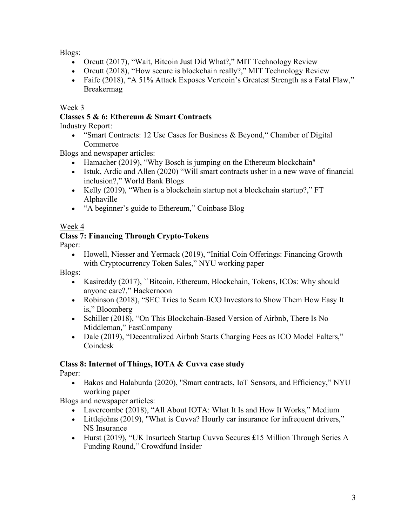Blogs:

- Orcutt (2017), "Wait, Bitcoin Just Did What?," MIT Technology Review
- Orcutt (2018), "How secure is blockchain really?," MIT Technology Review
- Faife (2018), "A 51% Attack Exposes Vertcoin's Greatest Strength as a Fatal Flaw," Breakermag

## Week 3

## **Classes 5 & 6: Ethereum & Smart Contracts**

Industry Report:

• "Smart Contracts: 12 Use Cases for Business & Beyond," Chamber of Digital **Commerce** 

Blogs and newspaper articles:

- Hamacher (2019), "Why Bosch is jumping on the Ethereum blockchain"
- Istuk, Ardic and Allen (2020) "Will smart contracts usher in a new wave of financial inclusion?," World Bank Blogs
- Kelly (2019), "When is a blockchain startup not a blockchain startup?," FT Alphaville
- "A beginner's guide to Ethereum," Coinbase Blog

## Week 4

## **Class 7: Financing Through Crypto-Tokens**

Paper:

• Howell, Niesser and Yermack (2019), "Initial Coin Offerings: Financing Growth with Cryptocurrency Token Sales," NYU working paper

Blogs:

- Kasireddy (2017), ``Bitcoin, Ethereum, Blockchain, Tokens, ICOs: Why should anyone care?," Hackernoon
- Robinson (2018), "SEC Tries to Scam ICO Investors to Show Them How Easy It is," Bloomberg
- Schiller (2018), "On This Blockchain-Based Version of Airbnb, There Is No Middleman," FastCompany
- Dale (2019), "Decentralized Airbnb Starts Charging Fees as ICO Model Falters," Coindesk

## **Class 8: Internet of Things, IOTA & Cuvva case study**

Paper:

• Bakos and Halaburda (2020), "Smart contracts, IoT Sensors, and Efficiency," NYU working paper

Blogs and newspaper articles:

- Lavercombe (2018), "All About IOTA: What It Is and How It Works," Medium
- Littlejohns (2019), "What is Cuvva? Hourly car insurance for infrequent drivers," NS Insurance
- Hurst (2019), "UK Insurtech Startup Cuvva Secures £15 Million Through Series A Funding Round," Crowdfund Insider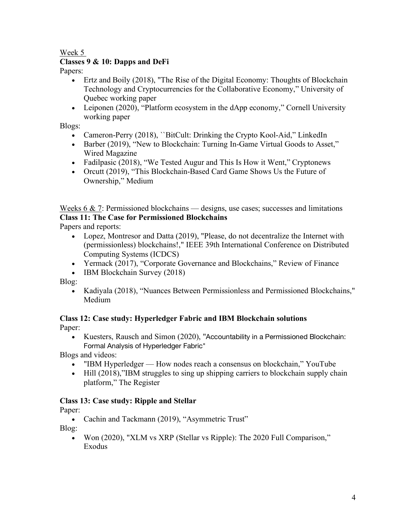Week 5

## **Classes 9 & 10: Dapps and DeFi**

Papers:

- Ertz and Boily (2018), "The Rise of the Digital Economy: Thoughts of Blockchain Technology and Cryptocurrencies for the Collaborative Economy," University of Quebec working paper
- Leiponen (2020), "Platform ecosystem in the dApp economy," Cornell University working paper

Blogs:

- Cameron-Perry (2018), "BitCult: Drinking the Crypto Kool-Aid," LinkedIn
- Barber (2019), "New to Blockchain: Turning In-Game Virtual Goods to Asset," Wired Magazine
- Fadilpasic (2018), "We Tested Augur and This Is How it Went," Cryptonews
- Orcutt (2019), "This Blockchain-Based Card Game Shows Us the Future of Ownership," Medium

Weeks  $6 \& 7$ : Permissioned blockchains — designs, use cases; successes and limitations **Class 11: The Case for Permissioned Blockchains**

Papers and reports:

- Lopez, Montresor and Datta (2019), "Please, do not decentralize the Internet with (permissionless) blockchains!," IEEE 39th International Conference on Distributed Computing Systems (ICDCS)
- Yermack (2017), "Corporate Governance and Blockchains," Review of Finance
- IBM Blockchain Survey (2018)

Blog:

• Kadiyala (2018), "Nuances Between Permissionless and Permissioned Blockchains," Medium

#### **Class 12: Case study: Hyperledger Fabric and IBM Blockchain solutions** Paper:

• Kuesters, Rausch and Simon (2020), "Accountability in a Permissioned Blockchain: Formal Analysis of Hyperledger Fabric"

Blogs and videos:

- "IBM Hyperledger How nodes reach a consensus on blockchain," YouTube
- Hill (2018), "IBM struggles to sing up shipping carriers to blockchain supply chain platform," The Register

## **Class 13: Case study: Ripple and Stellar**

Paper:

• Cachin and Tackmann (2019), "Asymmetric Trust"

Blog:

• Won (2020), "XLM vs XRP (Stellar vs Ripple): The 2020 Full Comparison," Exodus